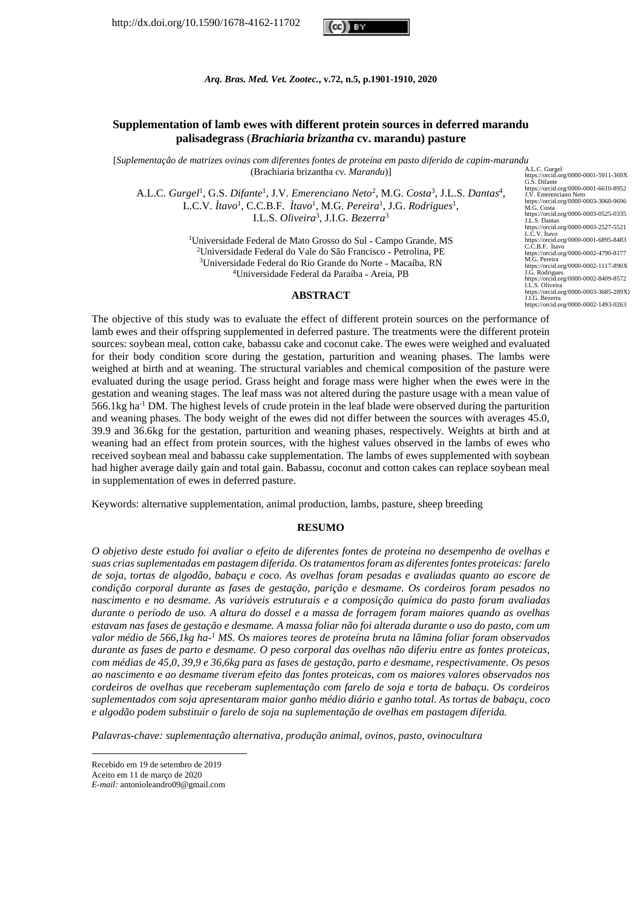http://dx.doi.org/10.1590/1678-4162-11702



*Arq. Bras. Med. Vet. Zootec.***, v.72, n.5, p.1901-1910, 2020**

# **Supplementation of lamb ewes with different protein sources in deferred marandu palisadegrass** (*Brachiaria brizantha* **cv. marandu) pasture**

[*Suplementação de matrizes ovinas com diferentes fontes de proteína em pasto diferido de capim-marandu*  (Brachiaria brizantha *cv. Marandu*)]

A.L.C. *Gurgel<sup>1</sup>*, G.S. *Difante<sup>1</sup>*, J.V. *Emerenciano Neto<sup>2</sup>*, M.G. *Costa<sup>3</sup>*, J.L.S. *Dantas<sup>4</sup>*, L.C.V. *Ìtavo<sup>1</sup>*, C.C.B.F. *Ìtavo<sup>1</sup>*, M.G. *Pereira<sup>1</sup>*, J.G. *Rodrigues<sup>1</sup>*, I.L.S. *Oliveira*<sup>3</sup> , J.I.G. *Bezerra*<sup>3</sup>

> <sup>1</sup>Universidade Federal de Mato Grosso do Sul - Campo Grande, MS <sup>2</sup>Universidade Federal do Vale do São Francisco - Petrolina, PE <sup>3</sup>Universidade Federal do Rio Grande do Norte - Macaíba, RN <sup>4</sup>Universidade Federal da Paraíba - Areia, PB

#### **ABSTRACT**

A.L.C. Gurgel https://orcid.org/0000-0001-5911-369X G.S. Difante https://orcid.org/0000-0001-6610-8952 J.V. Emerenciano Neto //orcid.org/0000-0003-3060-9696 https://orcio<br>M.G. Costa https://orcid.org/0000-0003-0525-0335 J.L.S. Dantas https://orcid.org/0000-0003-2527-5521 L.C.V. Ìtavo https://orcid.org/0000-0001-6895-8483 C.C.B.F. Ìtavo https://orcid.org/0000-0002-4790-8177 M.G. Pereira https://orcid.org/0000-0002-1117-890X J.G. Rodrigues https://orcid.org/0000-0002-8409-8572 I.L.S. Oliveira https://orcid.org/0000-0003-3685-289X) J.I.G. Bezerra https://orcid.org/0000-0002-1493-0263

The objective of this study was to evaluate the effect of different protein sources on the performance of lamb ewes and their offspring supplemented in deferred pasture. The treatments were the different protein sources: soybean meal, cotton cake, babassu cake and coconut cake. The ewes were weighed and evaluated for their body condition score during the gestation, parturition and weaning phases. The lambs were weighed at birth and at weaning. The structural variables and chemical composition of the pasture were evaluated during the usage period. Grass height and forage mass were higher when the ewes were in the gestation and weaning stages. The leaf mass was not altered during the pasture usage with a mean value of 566.1kg ha-1 DM. The highest levels of crude protein in the leaf blade were observed during the parturition and weaning phases. The body weight of the ewes did not differ between the sources with averages 45.0, 39.9 and 36.6kg for the gestation, parturition and weaning phases, respectively. Weights at birth and at weaning had an effect from protein sources, with the highest values observed in the lambs of ewes who received soybean meal and babassu cake supplementation. The lambs of ewes supplemented with soybean had higher average daily gain and total gain. Babassu, coconut and cotton cakes can replace soybean meal in supplementation of ewes in deferred pasture.

Keywords: alternative supplementation, animal production, lambs, pasture, sheep breeding

## **RESUMO**

*O objetivo deste estudo foi avaliar o efeito de diferentes fontes de proteína no desempenho de ovelhas e suas crias suplementadas em pastagem diferida. Os tratamentos foram as diferentes fontes proteicas: farelo de soja, tortas de algodão, babaçu e coco. As ovelhas foram pesadas e avaliadas quanto ao escore de condição corporal durante as fases de gestação, parição e desmame. Os cordeiros foram pesados no nascimento e no desmame. As variáveis estruturais e a composição química do pasto foram avaliadas durante o período de uso. A altura do dossel e a massa de forragem foram maiores quando as ovelhas estavam nas fases de gestação e desmame. A massa foliar não foi alterada durante o uso do pasto, com um valor médio de 566,1kg ha-<sup>1</sup> MS. Os maiores teores de proteína bruta na lâmina foliar foram observados durante as fases de parto e desmame. O peso corporal das ovelhas não diferiu entre as fontes proteicas, com médias de 45,0, 39,9 e 36,6kg para as fases de gestação, parto e desmame, respectivamente. Os pesos ao nascimento e ao desmame tiveram efeito das fontes proteicas, com os maiores valores observados nos cordeiros de ovelhas que receberam suplementação com farelo de soja e torta de babaçu. Os cordeiros suplementados com soja apresentaram maior ganho médio diário e ganho total. As tortas de babaçu, coco e algodão podem substituir o farelo de soja na suplementação de ovelhas em pastagem diferida.*

*Palavras-chave: suplementação alternativa, produção animal, ovinos, pasto, ovinocultura*

Recebido em 19 de setembro de 2019

Aceito em 11 de março de 2020

*E-mail:* antonioleandro09@gmail.com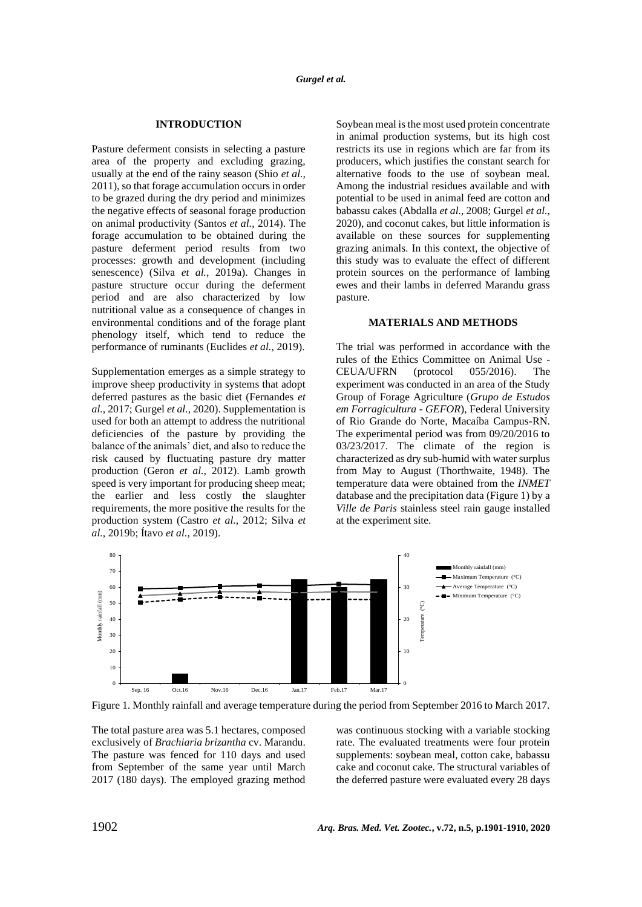# **INTRODUCTION**

Pasture deferment consists in selecting a pasture area of the property and excluding grazing, usually at the end of the rainy season (Shio *et al.,* 2011), so that forage accumulation occurs in order to be grazed during the dry period and minimizes the negative effects of seasonal forage production on animal productivity (Santos *et al.,* 2014). The forage accumulation to be obtained during the pasture deferment period results from two processes: growth and development (including senescence) (Silva *et al.,* 2019a). Changes in pasture structure occur during the deferment period and are also characterized by low nutritional value as a consequence of changes in environmental conditions and of the forage plant phenology itself, which tend to reduce the performance of ruminants (Euclides *et al.,* 2019).

Supplementation emerges as a simple strategy to improve sheep productivity in systems that adopt deferred pastures as the basic diet (Fernandes *et al.,* 2017; Gurgel *et al.,* 2020). Supplementation is used for both an attempt to address the nutritional deficiencies of the pasture by providing the balance of the animals' diet, and also to reduce the risk caused by fluctuating pasture dry matter production (Geron *et al.,* 2012). Lamb growth speed is very important for producing sheep meat; the earlier and less costly the slaughter requirements, the more positive the results for the production system (Castro *et al.,* 2012; Silva *et al.,* 2019b; Ítavo *et al.,* 2019).

Soybean meal is the most used protein concentrate in animal production systems, but its high cost restricts its use in regions which are far from its producers, which justifies the constant search for alternative foods to the use of soybean meal. Among the industrial residues available and with potential to be used in animal feed are cotton and babassu cakes (Abdalla *et al.,* 2008; Gurgel *et al.,* 2020), and coconut cakes, but little information is available on these sources for supplementing grazing animals. In this context, the objective of this study was to evaluate the effect of different protein sources on the performance of lambing ewes and their lambs in deferred Marandu grass pasture.

# **MATERIALS AND METHODS**

The trial was performed in accordance with the rules of the Ethics Committee on Animal Use - CEUA/UFRN (protocol 055/2016). The experiment was conducted in an area of the Study Group of Forage Agriculture (*Grupo de Estudos em Forragicultura* - *GEFOR*), Federal University of Rio Grande do Norte, Macaíba Campus-RN. The experimental period was from 09/20/2016 to 03/23/2017. The climate of the region is characterized as dry sub-humid with water surplus from May to August (Thorthwaite, 1948). The temperature data were obtained from the *INMET* database and the precipitation data (Figure 1) by a *Ville de Paris* stainless steel rain gauge installed at the experiment site.



Figure 1. Monthly rainfall and average temperature during the period from September 2016 to March 2017.

The total pasture area was 5.1 hectares, composed exclusively of *Brachiaria brizantha* cv. Marandu. The pasture was fenced for 110 days and used from September of the same year until March 2017 (180 days). The employed grazing method

was continuous stocking with a variable stocking rate. The evaluated treatments were four protein supplements: soybean meal, cotton cake, babassu cake and coconut cake. The structural variables of the deferred pasture were evaluated every 28 days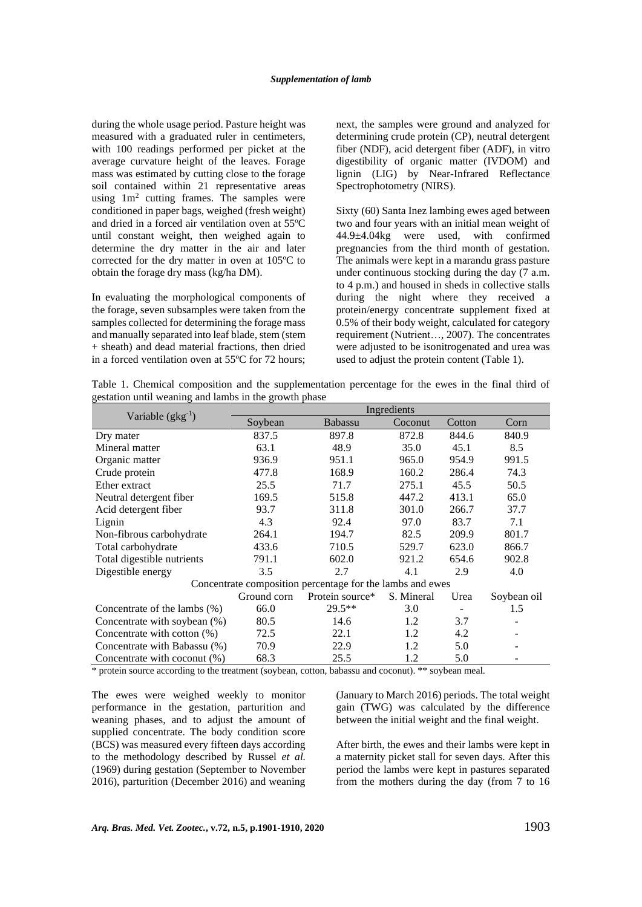during the whole usage period. Pasture height was measured with a graduated ruler in centimeters, with 100 readings performed per picket at the average curvature height of the leaves. Forage mass was estimated by cutting close to the forage soil contained within 21 representative areas using  $1m^2$  cutting frames. The samples were conditioned in paper bags, weighed (fresh weight) and dried in a forced air ventilation oven at 55ºC until constant weight, then weighed again to determine the dry matter in the air and later corrected for the dry matter in oven at 105ºC to obtain the forage dry mass (kg/ha DM).

In evaluating the morphological components of the forage, seven subsamples were taken from the samples collected for determining the forage mass and manually separated into leaf blade, stem (stem + sheath) and dead material fractions, then dried in a forced ventilation oven at 55ºC for 72 hours; next, the samples were ground and analyzed for determining crude protein (CP), neutral detergent fiber (NDF), acid detergent fiber (ADF), in vitro digestibility of organic matter (IVDOM) and lignin (LIG) by Near-Infrared Reflectance Spectrophotometry (NIRS).

Sixty (60) Santa Inez lambing ewes aged between two and four years with an initial mean weight of 44.9±4.04kg were used, with confirmed pregnancies from the third month of gestation. The animals were kept in a marandu grass pasture under continuous stocking during the day (7 a.m. to 4 p.m.) and housed in sheds in collective stalls during the night where they received a protein/energy concentrate supplement fixed at 0.5% of their body weight, calculated for category requirement (Nutrient…, 2007). The concentrates were adjusted to be isonitrogenated and urea was used to adjust the protein content (Table 1).

Table 1. Chemical composition and the supplementation percentage for the ewes in the final third of gestation until weaning and lambs in the growth phase

|                                | Ingredients |                                                           |            |                          |                          |  |  |  |
|--------------------------------|-------------|-----------------------------------------------------------|------------|--------------------------|--------------------------|--|--|--|
| Variable $(gkg^{-1})$          | Soybean     | Babassu                                                   | Coconut    | Cotton                   | Corn                     |  |  |  |
| Dry mater                      | 837.5       | 897.8                                                     | 872.8      | 844.6                    | 840.9                    |  |  |  |
| Mineral matter                 | 63.1        | 48.9                                                      | 35.0       | 45.1                     | 8.5                      |  |  |  |
| Organic matter                 | 936.9       | 951.1                                                     | 965.0      | 954.9                    | 991.5                    |  |  |  |
| Crude protein                  | 477.8       | 168.9                                                     | 160.2      | 286.4                    | 74.3                     |  |  |  |
| Ether extract                  | 25.5        | 71.7                                                      | 275.1      | 45.5                     | 50.5                     |  |  |  |
| Neutral detergent fiber        | 169.5       | 515.8                                                     | 447.2      | 413.1                    | 65.0                     |  |  |  |
| Acid detergent fiber           | 93.7        | 311.8                                                     | 301.0      | 266.7                    | 37.7                     |  |  |  |
| Lignin                         | 4.3         | 92.4                                                      | 97.0       | 83.7                     | 7.1                      |  |  |  |
| Non-fibrous carbohydrate       | 264.1       | 194.7                                                     | 82.5       | 209.9                    | 801.7                    |  |  |  |
| Total carbohydrate             | 433.6       | 710.5                                                     | 529.7      | 623.0                    | 866.7                    |  |  |  |
| Total digestible nutrients     | 791.1       | 602.0                                                     | 921.2      | 654.6                    | 902.8                    |  |  |  |
| Digestible energy              | 3.5         | 2.7                                                       | 4.1        | 2.9                      | 4.0                      |  |  |  |
|                                |             | Concentrate composition percentage for the lambs and ewes |            |                          |                          |  |  |  |
|                                | Ground corn | Protein source*                                           | S. Mineral | Urea                     | Soybean oil              |  |  |  |
| Concentrate of the lambs (%)   | 66.0        | $29.5**$                                                  | 3.0        | $\overline{\phantom{a}}$ | 1.5                      |  |  |  |
| Concentrate with soybean (%)   | 80.5        | 14.6                                                      | 1.2        | 3.7                      |                          |  |  |  |
| Concentrate with cotton $(\%)$ | 72.5        | 22.1                                                      | 1.2        | 4.2                      |                          |  |  |  |
| Concentrate with Babassu (%)   | 70.9        | 22.9                                                      | 1.2        | 5.0                      |                          |  |  |  |
| Concentrate with coconut (%)   | 68.3        | 25.5                                                      | 1.2        | 5.0                      | $\overline{\phantom{a}}$ |  |  |  |

\* protein source according to the treatment (soybean, cotton, babassu and coconut). \*\* soybean meal.

The ewes were weighed weekly to monitor performance in the gestation, parturition and weaning phases, and to adjust the amount of supplied concentrate. The body condition score (BCS) was measured every fifteen days according to the methodology described by Russel *et al.* (1969) during gestation (September to November 2016), parturition (December 2016) and weaning (January to March 2016) periods. The total weight gain (TWG) was calculated by the difference between the initial weight and the final weight.

After birth, the ewes and their lambs were kept in a maternity picket stall for seven days. After this period the lambs were kept in pastures separated from the mothers during the day (from 7 to 16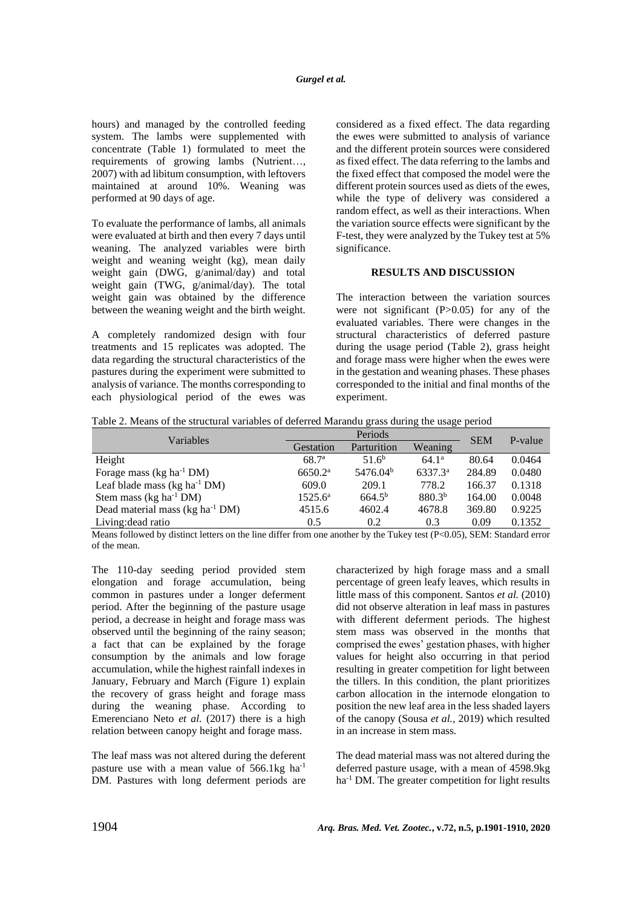hours) and managed by the controlled feeding system. The lambs were supplemented with concentrate (Table 1) formulated to meet the requirements of growing lambs (Nutrient…, 2007) with ad libitum consumption, with leftovers maintained at around 10%. Weaning was performed at 90 days of age.

To evaluate the performance of lambs, all animals were evaluated at birth and then every 7 days until weaning. The analyzed variables were birth weight and weaning weight (kg), mean daily weight gain (DWG, g/animal/day) and total weight gain (TWG, g/animal/day). The total weight gain was obtained by the difference between the weaning weight and the birth weight.

A completely randomized design with four treatments and 15 replicates was adopted. The data regarding the structural characteristics of the pastures during the experiment were submitted to analysis of variance. The months corresponding to each physiological period of the ewes was considered as a fixed effect. The data regarding the ewes were submitted to analysis of variance and the different protein sources were considered as fixed effect. The data referring to the lambs and the fixed effect that composed the model were the different protein sources used as diets of the ewes, while the type of delivery was considered a random effect, as well as their interactions. When the variation source effects were significant by the F-test, they were analyzed by the Tukey test at 5% significance.

# **RESULTS AND DISCUSSION**

The interaction between the variation sources were not significant  $(P>0.05)$  for any of the evaluated variables. There were changes in the structural characteristics of deferred pasture during the usage period (Table 2), grass height and forage mass were higher when the ewes were in the gestation and weaning phases. These phases corresponded to the initial and final months of the experiment.

| Table 2. Means of the structural variables of deferred Marandu grass during the usage period |  |  |  |
|----------------------------------------------------------------------------------------------|--|--|--|
|                                                                                              |  |  |  |

| Variables                                           |                     | Periods              | <b>SEM</b>          | P-value |        |
|-----------------------------------------------------|---------------------|----------------------|---------------------|---------|--------|
|                                                     | Gestation           | Parturition          | Weaning             |         |        |
| Height                                              | $68.7^{\circ}$      | 51.6 <sup>b</sup>    | 64.1 <sup>a</sup>   | 80.64   | 0.0464 |
| Forage mass ( $kg \text{ ha}^{-1} \text{ DM}$ )     | 6650.2 <sup>a</sup> | 5476.04 <sup>b</sup> | 6337.3 <sup>a</sup> | 284.89  | 0.0480 |
| Leaf blade mass ( $kg \text{ ha}^{-1} \text{ DM}$ ) | 609.0               | 209.1                | 778.2               | 166.37  | 0.1318 |
| Stem mass $(kg ha-1 DM)$                            | $1525.6^{\rm a}$    | $664.5^{b}$          | $880.3^{b}$         | 164.00  | 0.0048 |
| Dead material mass (kg ha <sup>-1</sup> DM)         | 4515.6              | 4602.4               | 4678.8              | 369.80  | 0.9225 |
| Living: dead ratio                                  | 0.5                 | 0.2                  | 0.3                 | 0.09    | 0.1352 |

Means followed by distinct letters on the line differ from one another by the Tukey test (P<0.05), SEM: Standard error of the mean.

The 110-day seeding period provided stem elongation and forage accumulation, being common in pastures under a longer deferment period. After the beginning of the pasture usage period, a decrease in height and forage mass was observed until the beginning of the rainy season; a fact that can be explained by the forage consumption by the animals and low forage accumulation, while the highest rainfall indexes in January, February and March (Figure 1) explain the recovery of grass height and forage mass during the weaning phase. According to Emerenciano Neto *et al.* (2017) there is a high relation between canopy height and forage mass.

The leaf mass was not altered during the deferent pasture use with a mean value of  $566.1kg$  ha<sup>-1</sup> DM. Pastures with long deferment periods are characterized by high forage mass and a small percentage of green leafy leaves, which results in little mass of this component. Santos *et al.* (2010) did not observe alteration in leaf mass in pastures with different deferment periods. The highest stem mass was observed in the months that comprised the ewes' gestation phases, with higher values for height also occurring in that period resulting in greater competition for light between the tillers. In this condition, the plant prioritizes carbon allocation in the internode elongation to position the new leaf area in the less shaded layers of the canopy (Sousa *et al.,* 2019) which resulted in an increase in stem mass.

The dead material mass was not altered during the deferred pasture usage, with a mean of 4598.9kg ha<sup>-1</sup> DM. The greater competition for light results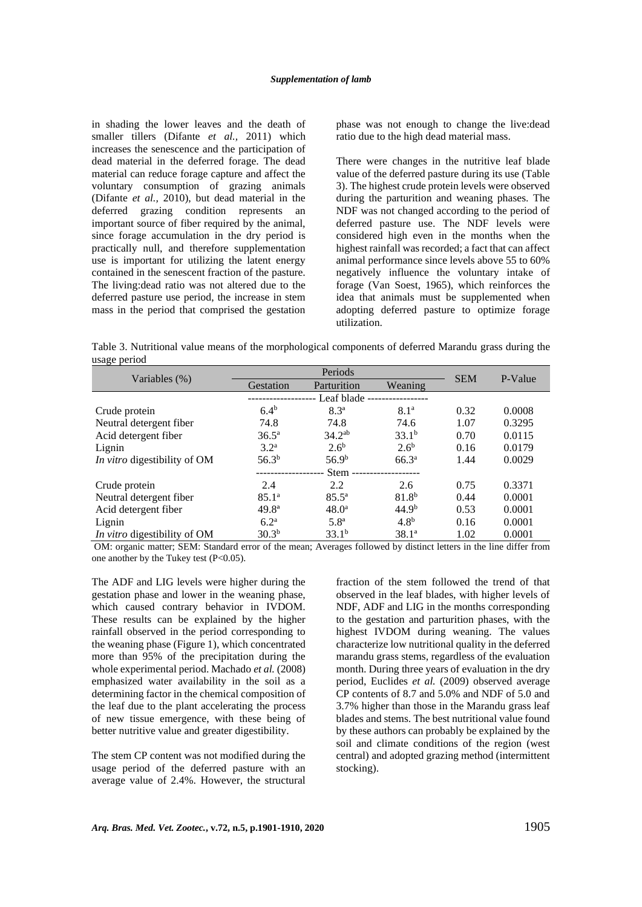in shading the lower leaves and the death of smaller tillers (Difante *et al.,* 2011) which increases the senescence and the participation of dead material in the deferred forage. The dead material can reduce forage capture and affect the voluntary consumption of grazing animals (Difante *et al.,* 2010), but dead material in the deferred grazing condition represents an important source of fiber required by the animal, since forage accumulation in the dry period is practically null, and therefore supplementation use is important for utilizing the latent energy contained in the senescent fraction of the pasture. The living:dead ratio was not altered due to the deferred pasture use period, the increase in stem mass in the period that comprised the gestation phase was not enough to change the live:dead ratio due to the high dead material mass.

There were changes in the nutritive leaf blade value of the deferred pasture during its use (Table 3). The highest crude protein levels were observed during the parturition and weaning phases. The NDF was not changed according to the period of deferred pasture use. The NDF levels were considered high even in the months when the highest rainfall was recorded; a fact that can affect animal performance since levels above 55 to 60% negatively influence the voluntary intake of forage (Van Soest, 1965), which reinforces the idea that animals must be supplemented when adopting deferred pasture to optimize forage utilization.

Table 3. Nutritional value means of the morphological components of deferred Marandu grass during the usage period

|                                     |                   | Periods           | <b>SEM</b>        |      |         |
|-------------------------------------|-------------------|-------------------|-------------------|------|---------|
| Variables (%)                       | Gestation         | Parturition       | Weaning           |      | P-Value |
|                                     |                   | Leaf blade --     |                   |      |         |
| Crude protein                       | $6.4^{b}$         | $8.3^{a}$         | 8.1 <sup>a</sup>  | 0.32 | 0.0008  |
| Neutral detergent fiber             | 74.8              | 74.8              | 74.6              | 1.07 | 0.3295  |
| Acid detergent fiber                | $36.5^{\rm a}$    | $34.2^{ab}$       | 33.1 <sup>b</sup> | 0.70 | 0.0115  |
| Lignin                              | $3.2^{\rm a}$     | 2.6 <sup>b</sup>  | $2.6^{\rm b}$     | 0.16 | 0.0179  |
| In vitro digestibility of OM        | 56.3 <sup>b</sup> | 56.9 <sup>b</sup> | 66.3 <sup>a</sup> | 1.44 | 0.0029  |
|                                     |                   | Stem -            |                   |      |         |
| Crude protein                       | 2.4               | 2.2               | 2.6               | 0.75 | 0.3371  |
| Neutral detergent fiber             | 85.1 <sup>a</sup> | $85.5^{\circ}$    | $81.8^{b}$        | 0.44 | 0.0001  |
| Acid detergent fiber                | $49.8^{\circ}$    | $48.0^{\circ}$    | 44.9 <sup>b</sup> | 0.53 | 0.0001  |
| Lignin                              | 6.2 <sup>a</sup>  | 5.8 <sup>a</sup>  | 4.8 <sup>b</sup>  | 0.16 | 0.0001  |
| <i>In vitro</i> digestibility of OM | $30.3^{b}$        | $33.1^{b}$        | $38.1^a$          | 1.02 | 0.0001  |

OM: organic matter; SEM: Standard error of the mean; Averages followed by distinct letters in the line differ from one another by the Tukey test (P<0.05).

The ADF and LIG levels were higher during the gestation phase and lower in the weaning phase, which caused contrary behavior in IVDOM. These results can be explained by the higher rainfall observed in the period corresponding to the weaning phase (Figure 1), which concentrated more than 95% of the precipitation during the whole experimental period. Machado *et al.* (2008) emphasized water availability in the soil as a determining factor in the chemical composition of the leaf due to the plant accelerating the process of new tissue emergence, with these being of better nutritive value and greater digestibility.

The stem CP content was not modified during the usage period of the deferred pasture with an average value of 2.4%. However, the structural fraction of the stem followed the trend of that observed in the leaf blades, with higher levels of NDF, ADF and LIG in the months corresponding to the gestation and parturition phases, with the highest IVDOM during weaning. The values characterize low nutritional quality in the deferred marandu grass stems, regardless of the evaluation month. During three years of evaluation in the dry period, Euclides *et al.* (2009) observed average CP contents of 8.7 and 5.0% and NDF of 5.0 and 3.7% higher than those in the Marandu grass leaf blades and stems. The best nutritional value found by these authors can probably be explained by the soil and climate conditions of the region (west central) and adopted grazing method (intermittent stocking).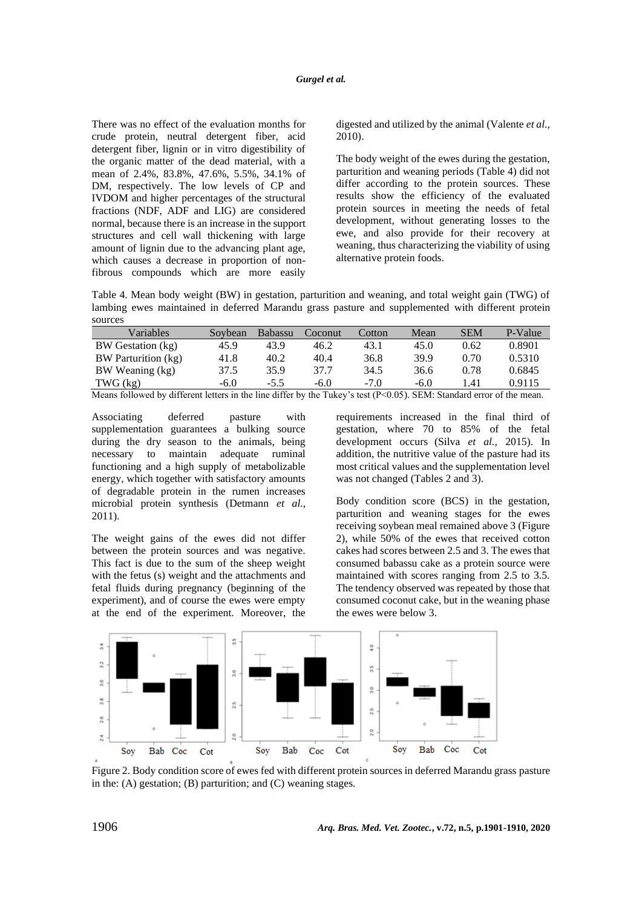There was no effect of the evaluation months for crude protein, neutral detergent fiber, acid detergent fiber, lignin or in vitro digestibility of the organic matter of the dead material, with a mean of 2.4%, 83.8%, 47.6%, 5.5%, 34.1% of DM, respectively. The low levels of CP and IVDOM and higher percentages of the structural fractions (NDF, ADF and LIG) are considered normal, because there is an increase in the support structures and cell wall thickening with large amount of lignin due to the advancing plant age, which causes a decrease in proportion of nonfibrous compounds which are more easily digested and utilized by the animal (Valente *et al.,* 2010).

The body weight of the ewes during the gestation, parturition and weaning periods (Table 4) did not differ according to the protein sources. These results show the efficiency of the evaluated protein sources in meeting the needs of fetal development, without generating losses to the ewe, and also provide for their recovery at weaning, thus characterizing the viability of using alternative protein foods.

Table 4. Mean body weight (BW) in gestation, parturition and weaning, and total weight gain (TWG) of lambing ewes maintained in deferred Marandu grass pasture and supplemented with different protein sources

| Variables                                                                                                                 | Sovbean | <b>Babassu</b> | Coconut | Cotton | Mean   | <b>SEM</b> | P-Value |
|---------------------------------------------------------------------------------------------------------------------------|---------|----------------|---------|--------|--------|------------|---------|
| BW Gestation (kg)                                                                                                         | 45.9    | 43.9           | 46.2    | 43.1   | 45.0   | 0.62       | 0.8901  |
| BW Parturition (kg)                                                                                                       | 41.8    | 40.2           | 40.4    | 36.8   | 39.9   | 0.70       | 0.5310  |
| BW Weaning (kg)                                                                                                           | 37.5    | 35.9           | 37.7    | 34.5   | 36.6   | 0.78       | 0.6845  |
| $TWG$ $(kg)$                                                                                                              | $-6.0$  | $-5.5$         | $-6.0$  | $-7.0$ | $-6.0$ | 1.41       | 0.9115  |
| Means followed by different letters in the line differ by the Tukey's test ( $P<0.05$ ). SEM: Standard error of the mean. |         |                |         |        |        |            |         |

Associating deferred pasture with supplementation guarantees a bulking source during the dry season to the animals, being necessary to maintain adequate ruminal functioning and a high supply of metabolizable energy, which together with satisfactory amounts of degradable protein in the rumen increases microbial protein synthesis (Detmann *et al.,* 2011).

The weight gains of the ewes did not differ between the protein sources and was negative. This fact is due to the sum of the sheep weight with the fetus (s) weight and the attachments and fetal fluids during pregnancy (beginning of the experiment), and of course the ewes were empty at the end of the experiment. Moreover, the requirements increased in the final third of gestation, where 70 to 85% of the fetal development occurs (Silva *et al.,* 2015). In addition, the nutritive value of the pasture had its most critical values and the supplementation level was not changed (Tables 2 and 3).

Body condition score (BCS) in the gestation, parturition and weaning stages for the ewes receiving soybean meal remained above 3 (Figure 2), while 50% of the ewes that received cotton cakes had scores between 2.5 and 3. The ewes that consumed babassu cake as a protein source were maintained with scores ranging from 2.5 to 3.5. The tendency observed was repeated by those that consumed coconut cake, but in the weaning phase the ewes were below 3.



Figure 2. Body condition score of ewes fed with different protein sources in deferred Marandu grass pasture in the: (A) gestation; (B) parturition; and (C) weaning stages.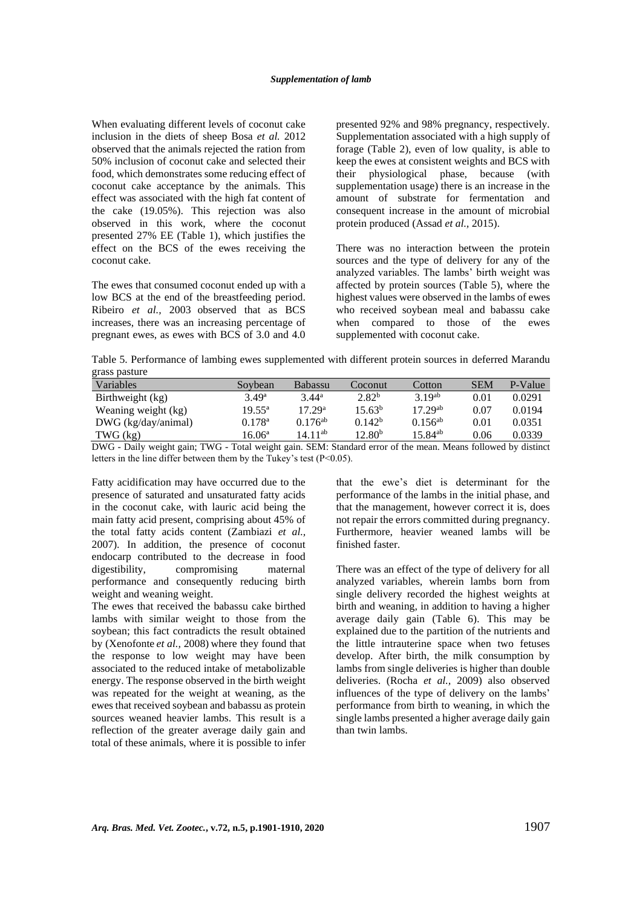## *Supplementation of lamb*

When evaluating different levels of coconut cake inclusion in the diets of sheep Bosa *et al.* 2012 observed that the animals rejected the ration from 50% inclusion of coconut cake and selected their food, which demonstrates some reducing effect of coconut cake acceptance by the animals. This effect was associated with the high fat content of the cake (19.05%). This rejection was also observed in this work, where the coconut presented 27% EE (Table 1), which justifies the effect on the BCS of the ewes receiving the coconut cake.

The ewes that consumed coconut ended up with a low BCS at the end of the breastfeeding period. Ribeiro *et al.,* 2003 observed that as BCS increases, there was an increasing percentage of pregnant ewes, as ewes with BCS of 3.0 and 4.0 presented 92% and 98% pregnancy, respectively. Supplementation associated with a high supply of forage (Table 2), even of low quality, is able to keep the ewes at consistent weights and BCS with their physiological phase, because (with supplementation usage) there is an increase in the amount of substrate for fermentation and consequent increase in the amount of microbial protein produced (Assad *et al.,* 2015).

There was no interaction between the protein sources and the type of delivery for any of the analyzed variables. The lambs' birth weight was affected by protein sources (Table 5), where the highest values were observed in the lambs of ewes who received soybean meal and babassu cake when compared to those of the ewes supplemented with coconut cake.

Table 5. Performance of lambing ewes supplemented with different protein sources in deferred Marandu grass pasture

| Variables             | Sovbean         | <b>Babassu</b>      | Coconut            | Cotton       | <b>SEM</b> | P-Value |
|-----------------------|-----------------|---------------------|--------------------|--------------|------------|---------|
| Birthweight (kg)      | $3.49^a$        | $3.44^a$            | 2.82 <sup>b</sup>  | $3.19^{ab}$  | 0.01       | 0.0291  |
| Weaning weight (kg)   | $19.55^{\circ}$ | 17.29 <sup>a</sup>  | 15.63 <sup>b</sup> | $17.29^{ab}$ | 0.07       | 0.0194  |
| $DWG$ (kg/day/animal) | $0.178^{\rm a}$ | $0.176^{ab}$        | 0.142 <sup>b</sup> | $0.156^{ab}$ | 0.01       | 0.0351  |
| $TWG$ $(kg)$          | $16.06^a$       | 14.11 <sup>ab</sup> | 12.80 <sup>b</sup> | $15.84^{ab}$ | 0.06       | 0.0339  |

DWG - Daily weight gain; TWG - Total weight gain. SEM: Standard error of the mean. Means followed by distinct letters in the line differ between them by the Tukey's test  $(P<0.05)$ .

Fatty acidification may have occurred due to the presence of saturated and unsaturated fatty acids in the coconut cake, with lauric acid being the main fatty acid present, comprising about 45% of the total fatty acids content (Zambiazi *et al.,* 2007). In addition, the presence of coconut endocarp contributed to the decrease in food digestibility, compromising maternal performance and consequently reducing birth weight and weaning weight.

The ewes that received the babassu cake birthed lambs with similar weight to those from the soybean; this fact contradicts the result obtained by (Xenofonte *et al.,* 2008) where they found that the response to low weight may have been associated to the reduced intake of metabolizable energy. The response observed in the birth weight was repeated for the weight at weaning, as the ewes that received soybean and babassu as protein sources weaned heavier lambs. This result is a reflection of the greater average daily gain and total of these animals, where it is possible to infer that the ewe's diet is determinant for the performance of the lambs in the initial phase, and that the management, however correct it is, does not repair the errors committed during pregnancy. Furthermore, heavier weaned lambs will be finished faster.

There was an effect of the type of delivery for all analyzed variables, wherein lambs born from single delivery recorded the highest weights at birth and weaning, in addition to having a higher average daily gain (Table 6). This may be explained due to the partition of the nutrients and the little intrauterine space when two fetuses develop. After birth, the milk consumption by lambs from single deliveries is higher than double deliveries. (Rocha *et al.,* 2009) also observed influences of the type of delivery on the lambs' performance from birth to weaning, in which the single lambs presented a higher average daily gain than twin lambs.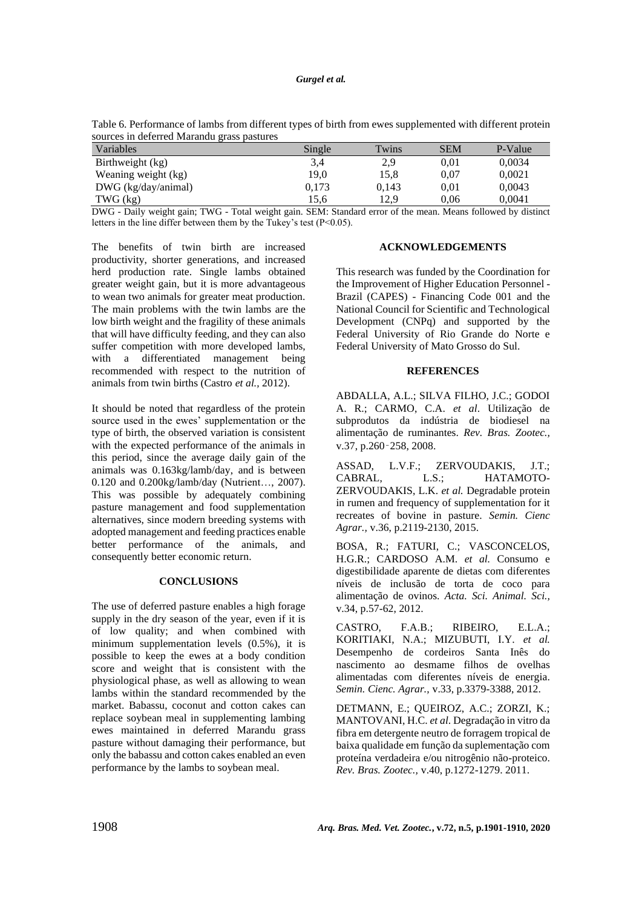#### *Gurgel et al.*

| sources in deferred Marandu grass pastures |        |       |            |         |
|--------------------------------------------|--------|-------|------------|---------|
| Variables                                  | Single | Twins | <b>SEM</b> | P-Value |
| Birthweight (kg)                           | 3.4    | 2.9   | 0.01       | 0.0034  |
| Weaning weight (kg)                        | 19.0   | 15.8  | 0.07       | 0.0021  |
| $DWG$ (kg/day/animal)                      | 0,173  | 0.143 | 0.01       | 0.0043  |

Table 6. Performance of lambs from different types of birth from ewes supplemented with different protein

DWG - Daily weight gain; TWG - Total weight gain. SEM: Standard error of the mean. Means followed by distinct letters in the line differ between them by the Tukey's test (P<0.05).

TWG (kg) 15,6 12,9 0,06 0,0041

The benefits of twin birth are increased productivity, shorter generations, and increased herd production rate. Single lambs obtained greater weight gain, but it is more advantageous to wean two animals for greater meat production. The main problems with the twin lambs are the low birth weight and the fragility of these animals that will have difficulty feeding, and they can also suffer competition with more developed lambs, with a differentiated management being recommended with respect to the nutrition of animals from twin births (Castro *et al.,* 2012).

It should be noted that regardless of the protein source used in the ewes' supplementation or the type of birth, the observed variation is consistent with the expected performance of the animals in this period, since the average daily gain of the animals was 0.163kg/lamb/day, and is between 0.120 and 0.200kg/lamb/day (Nutrient…, 2007). This was possible by adequately combining pasture management and food supplementation alternatives, since modern breeding systems with adopted management and feeding practices enable better performance of the animals, and consequently better economic return.

# **CONCLUSIONS**

The use of deferred pasture enables a high forage supply in the dry season of the year, even if it is of low quality; and when combined with minimum supplementation levels (0.5%), it is possible to keep the ewes at a body condition score and weight that is consistent with the physiological phase, as well as allowing to wean lambs within the standard recommended by the market. Babassu, coconut and cotton cakes can replace soybean meal in supplementing lambing ewes maintained in deferred Marandu grass pasture without damaging their performance, but only the babassu and cotton cakes enabled an even performance by the lambs to soybean meal.

#### **ACKNOWLEDGEMENTS**

This research was funded by the Coordination for the Improvement of Higher Education Personnel - Brazil (CAPES) - Financing Code 001 and the National Council for Scientific and Technological Development (CNPq) and supported by the Federal University of Rio Grande do Norte e Federal University of Mato Grosso do Sul.

#### **REFERENCES**

ABDALLA, A.L.; SILVA FILHO, J.C.; GODOI A. R.; CARMO, C.A. *et al*. Utilização de subprodutos da indústria de biodiesel na alimentação de ruminantes. *Rev. Bras. Zootec.,* v.37, p.260‑258, 2008.

ASSAD, L.V.F.; ZERVOUDAKIS, J.T.; CABRAL, L.S.; HATAMOTO-ZERVOUDAKIS, L.K. *et al.* Degradable protein in rumen and frequency of supplementation for it recreates of bovine in pasture. *Semin. Cienc Agrar.,* v.36, p.2119-2130, 2015.

BOSA, R.; FATURI, C.; VASCONCELOS, H.G.R.; CARDOSO A.M. *et al.* Consumo e digestibilidade aparente de dietas com diferentes níveis de inclusão de torta de coco para alimentação de ovinos. *Acta. Sci. Animal. Sci.,*  v.34, p.57-62, 2012.

CASTRO, F.A.B.; RIBEIRO, E.L.A.; KORITIAKI, N.A.; MIZUBUTI, I.Y. *et al.* Desempenho de cordeiros Santa Inês do nascimento ao desmame filhos de ovelhas alimentadas com diferentes níveis de energia. *Semin. Cienc. Agrar.,* v.33, p.3379-3388, 2012.

DETMANN, E.; QUEIROZ, A.C.; ZORZI, K.; MANTOVANI, H.C. *et al*. Degradação in vitro da fibra em detergente neutro de forragem tropical de baixa qualidade em função da suplementação com proteína verdadeira e/ou nitrogênio não-proteico. *Rev. Bras. Zootec.,* v.40, p.1272-1279. 2011.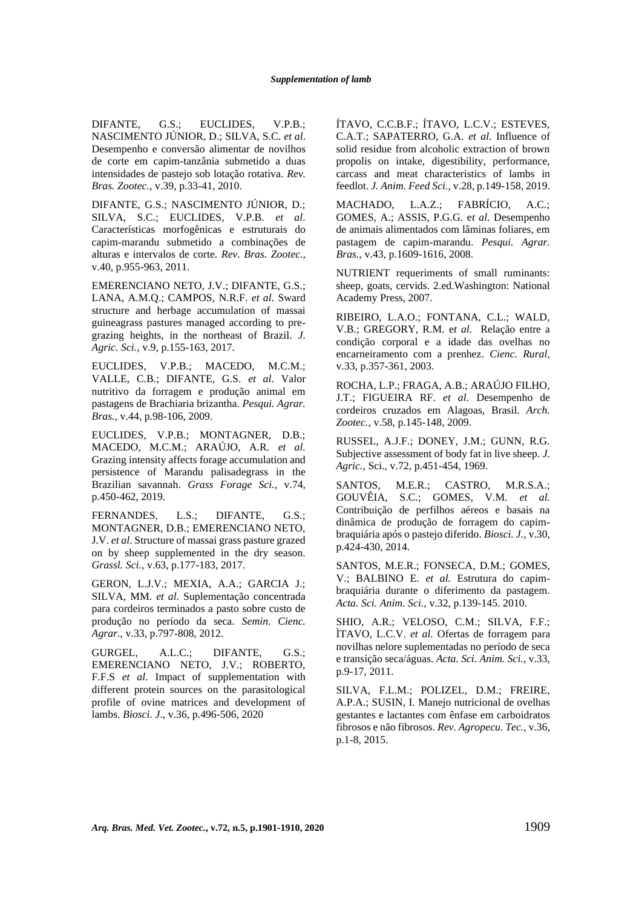DIFANTE, G.S.; EUCLIDES, V.P.B.; NASCIMENTO JÚNIOR, D.; SILVA, S.C. *et al*. Desempenho e conversão alimentar de novilhos de corte em capim-tanzânia submetido a duas intensidades de pastejo sob lotação rotativa. *Rev. Bras. Zootec.,* v.39, p.33-41, 2010.

DIFANTE, G.S.; NASCIMENTO JÚNIOR, D.; SILVA, S.C.; EUCLIDES, V.P.B. *et al*. Características morfogênicas e estruturais do capim-marandu submetido a combinações de alturas e intervalos de corte*. Rev. Bras. Zootec.,* v.40, p.955-963, 2011.

EMERENCIANO NETO, J.V.; DIFANTE, G.S.; LANA, A.M.Q.; CAMPOS, N.R.F. *et al*. Sward structure and herbage accumulation of massai guineagrass pastures managed according to pregrazing heights, in the northeast of Brazil. *J. Agric. Sci.,* v.9, p.155-163, 2017.

EUCLIDES, V.P.B.; MACEDO, M.C.M.; VALLE, C.B.; DIFANTE, G.S. *et al*. Valor nutritivo da forragem e produção animal em pastagens de Brachiaria brizantha. *Pesqui. Agrar. Bras.,* v.44, p.98-106, 2009.

EUCLIDES, V.P.B.; MONTAGNER, D.B.; MACEDO, M.C.M.; ARAÚJO, A.R. *et al.* Grazing intensity affects forage accumulation and persistence of Marandu palisadegrass in the Brazilian savannah. *Grass Forage Sci.,* v.74, p.450-462, 2019.

FERNANDES, L.S.; DIFANTE, G.S.; MONTAGNER, D.B.; EMERENCIANO NETO, J.V. *et al*. Structure of massai grass pasture grazed on by sheep supplemented in the dry season. *Grassl. Sci.*, v.63, p.177-183, 2017.

GERON, L.J.V.; MEXIA, A.A.; GARCIA J.; SILVA, MM. *et al.* Suplementação concentrada para cordeiros terminados a pasto sobre custo de produção no período da seca. *Semin. Cienc. Agrar.,* v.33, p.797-808, 2012.

GURGEL, A.L.C.; DIFANTE, G.S.; EMERENCIANO NETO, J.V.; ROBERTO, F.F.S *et al.* Impact of supplementation with different protein sources on the parasitological profile of ovine matrices and development of lambs. *Biosci. J*., v.36, p.496-506, 2020

ÍTAVO, C.C.B.F.; ÍTAVO, L.C.V.; ESTEVES, C.A.T.; SAPATERRO, G.A. *et al.* Influence of solid residue from alcoholic extraction of brown propolis on intake, digestibility, performance, carcass and meat characteristics of lambs in feedlot. *J. Anim. Feed Sci.,* v.28, p.149-158, 2019.

MACHADO, L.A.Z.; FABRÍCIO, A.C.; GOMES, A.; ASSIS, P.G.G. e*t al.* Desempenho de animais alimentados com lâminas foliares, em pastagem de capim-marandu. *Pesqui. Agrar. Bras.,* v.43, p.1609-1616, 2008.

NUTRIENT requeriments of small ruminants: sheep, goats, cervids. 2.ed.Washington: National Academy Press, 2007.

RIBEIRO, L.A.O.; FONTANA, C.L.; WALD, V.B.; GREGORY, R.M. e*t al.* Relação entre a condição corporal e a idade das ovelhas no encarneiramento com a prenhez. *Cienc. Rural,* v.33, p.357-361, 2003.

ROCHA, L.P.; FRAGA, A.B.; ARAÚJO FILHO, J.T.; FIGUEIRA RF. *et al.* Desempenho de cordeiros cruzados em Alagoas, Brasil. *Arch. Zootec.,* v.58, p.145-148, 2009.

RUSSEL, A.J.F.; DONEY, J.M.; GUNN, R.G. Subjective assessment of body fat in live sheep. *J. Agric.,* Sci., v.72, p.451-454, 1969.

SANTOS, M.E.R.; CASTRO, M.R.S.A.; GOUVÊIA, S.C.; GOMES, V.M. *et al.* Contribuição de perfilhos aéreos e basais na dinâmica de produção de forragem do capimbraquiária após o pastejo diferido. *Biosci. J.,* v.30, p.424-430, 2014.

SANTOS, M.E.R.; FONSECA, D.M.; GOMES, V.; BALBINO E. *et al.* Estrutura do capimbraquiária durante o diferimento da pastagem. *Acta. Sci. Anim. Sci.,* v.32, p.139-145. 2010.

SHIO, A.R.; VELOSO, C.M.; SILVA, F.F.; ÌTAVO, L.C.V. *et al.* Ofertas de forragem para novilhas nelore suplementadas no período de seca e transição seca/águas. *Acta. Sci. Anim. Sci.,* v.33, p.9-17, 2011.

SILVA, F.L.M.; POLIZEL, D.M.; FREIRE, A.P.A.; SUSIN, I. Manejo nutricional de ovelhas gestantes e lactantes com ênfase em carboidratos fibrosos e não fibrosos. *Rev. Agropecu. Tec.,* v.36, p.1-8, 2015.